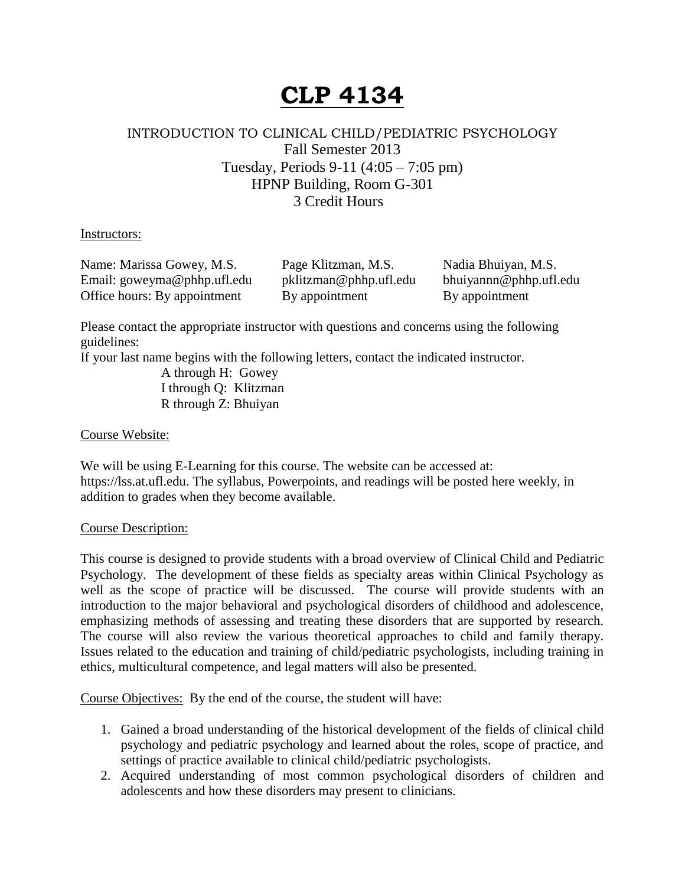# **CLP 4134**

## INTRODUCTION TO CLINICAL CHILD/PEDIATRIC PSYCHOLOGY Fall Semester 2013 Tuesday, Periods 9-11 (4:05 – 7:05 pm) HPNP Building, Room G-301 3 Credit Hours

#### Instructors:

Name: Marissa Gowey, M.S. Page Klitzman, M.S. Nadia Bhuiyan, M.S. Email: [goweyma@phhp.ufl.edu](mailto:goweyma@phhp.ufl.edu) pklitzman@phhp.ufl.edu bhuiyannn@phhp.ufl.edu Office hours: By appointment By appointment By appointment

Please contact the appropriate instructor with questions and concerns using the following guidelines:

If your last name begins with the following letters, contact the indicated instructor.

A through H: Gowey I through Q: Klitzman R through Z: Bhuiyan

#### Course Website:

We will be using E-Learning for this course. The website can be accessed at: https://lss.at.ufl.edu. The syllabus, Powerpoints, and readings will be posted here weekly, in addition to grades when they become available.

#### Course Description:

This course is designed to provide students with a broad overview of Clinical Child and Pediatric Psychology. The development of these fields as specialty areas within Clinical Psychology as well as the scope of practice will be discussed. The course will provide students with an introduction to the major behavioral and psychological disorders of childhood and adolescence, emphasizing methods of assessing and treating these disorders that are supported by research. The course will also review the various theoretical approaches to child and family therapy. Issues related to the education and training of child/pediatric psychologists, including training in ethics, multicultural competence, and legal matters will also be presented.

Course Objectives: By the end of the course, the student will have:

- 1. Gained a broad understanding of the historical development of the fields of clinical child psychology and pediatric psychology and learned about the roles, scope of practice, and settings of practice available to clinical child/pediatric psychologists.
- 2. Acquired understanding of most common psychological disorders of children and adolescents and how these disorders may present to clinicians.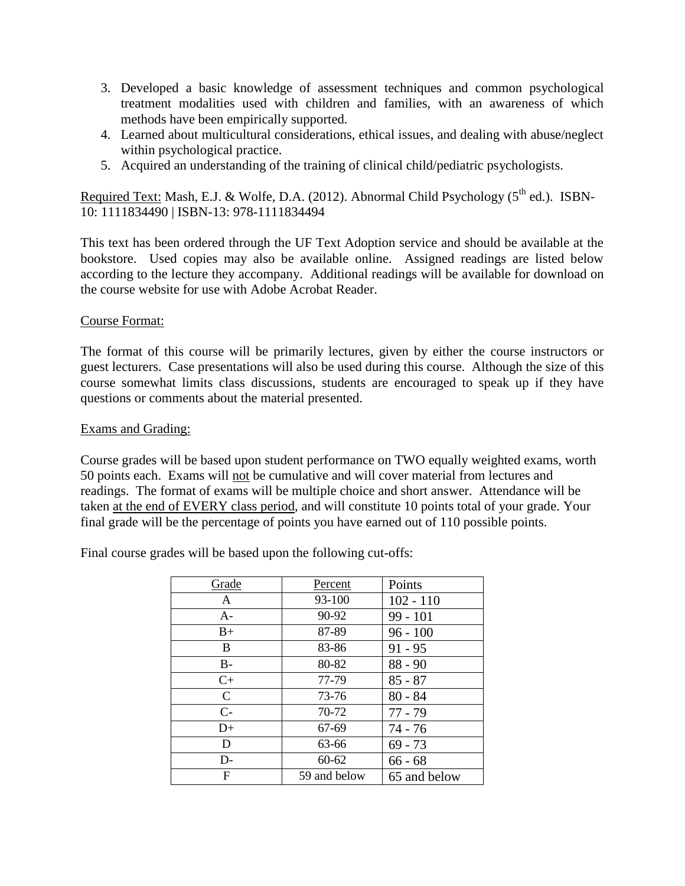- 3. Developed a basic knowledge of assessment techniques and common psychological treatment modalities used with children and families, with an awareness of which methods have been empirically supported.
- 4. Learned about multicultural considerations, ethical issues, and dealing with abuse/neglect within psychological practice.
- 5. Acquired an understanding of the training of clinical child/pediatric psychologists.

Required Text: Mash, E.J. & Wolfe, D.A. (2012). Abnormal Child Psychology (5<sup>th</sup> ed.). ISBN-10: 1111834490 | ISBN-13: 978-1111834494

This text has been ordered through the UF Text Adoption service and should be available at the bookstore. Used copies may also be available online. Assigned readings are listed below according to the lecture they accompany. Additional readings will be available for download on the course website for use with Adobe Acrobat Reader.

### Course Format:

The format of this course will be primarily lectures, given by either the course instructors or guest lecturers. Case presentations will also be used during this course. Although the size of this course somewhat limits class discussions, students are encouraged to speak up if they have questions or comments about the material presented.

#### Exams and Grading:

Course grades will be based upon student performance on TWO equally weighted exams, worth 50 points each. Exams will not be cumulative and will cover material from lectures and readings. The format of exams will be multiple choice and short answer. Attendance will be taken at the end of EVERY class period, and will constitute 10 points total of your grade. Your final grade will be the percentage of points you have earned out of 110 possible points.

Final course grades will be based upon the following cut-offs:

| Grade         | Percent      | Points       |
|---------------|--------------|--------------|
| A             | 93-100       | $102 - 110$  |
| $A-$          | 90-92        | $99 - 101$   |
| $B+$          | 87-89        | $96 - 100$   |
| B             | 83-86        | $91 - 95$    |
| $B -$         | 80-82        | $88 - 90$    |
| $C+$          | 77-79        | $85 - 87$    |
| $\mathcal{C}$ | 73-76        | $80 - 84$    |
| $C-$          | 70-72        | $77 - 79$    |
| $D+$          | 67-69        | $74 - 76$    |
| D             | 63-66        | $69 - 73$    |
| $D-$          | $60 - 62$    | $66 - 68$    |
| F             | 59 and below | 65 and below |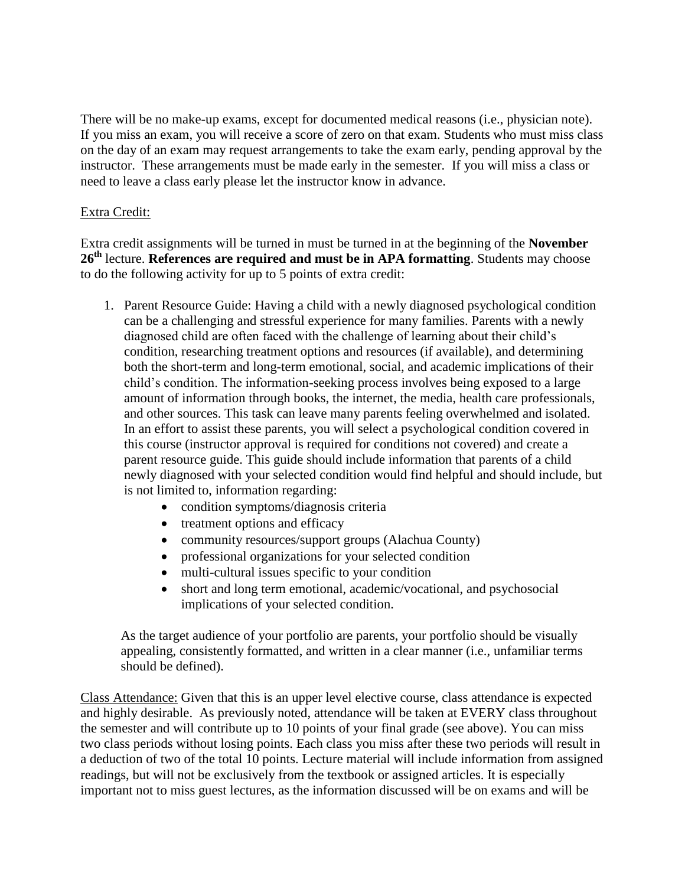There will be no make-up exams, except for documented medical reasons (i.e., physician note). If you miss an exam, you will receive a score of zero on that exam. Students who must miss class on the day of an exam may request arrangements to take the exam early, pending approval by the instructor. These arrangements must be made early in the semester. If you will miss a class or need to leave a class early please let the instructor know in advance.

### Extra Credit:

Extra credit assignments will be turned in must be turned in at the beginning of the **November**  26<sup>th</sup> lecture. **References are required and must be in APA formatting**. Students may choose to do the following activity for up to 5 points of extra credit:

- 1. Parent Resource Guide: Having a child with a newly diagnosed psychological condition can be a challenging and stressful experience for many families. Parents with a newly diagnosed child are often faced with the challenge of learning about their child's condition, researching treatment options and resources (if available), and determining both the short-term and long-term emotional, social, and academic implications of their child's condition. The information-seeking process involves being exposed to a large amount of information through books, the internet, the media, health care professionals, and other sources. This task can leave many parents feeling overwhelmed and isolated. In an effort to assist these parents, you will select a psychological condition covered in this course (instructor approval is required for conditions not covered) and create a parent resource guide. This guide should include information that parents of a child newly diagnosed with your selected condition would find helpful and should include, but is not limited to, information regarding:
	- condition symptoms/diagnosis criteria
	- treatment options and efficacy
	- community resources/support groups (Alachua County)
	- professional organizations for your selected condition
	- multi-cultural issues specific to your condition
	- short and long term emotional, academic/vocational, and psychosocial implications of your selected condition.

As the target audience of your portfolio are parents, your portfolio should be visually appealing, consistently formatted, and written in a clear manner (i.e., unfamiliar terms should be defined).

Class Attendance: Given that this is an upper level elective course, class attendance is expected and highly desirable. As previously noted, attendance will be taken at EVERY class throughout the semester and will contribute up to 10 points of your final grade (see above). You can miss two class periods without losing points. Each class you miss after these two periods will result in a deduction of two of the total 10 points. Lecture material will include information from assigned readings, but will not be exclusively from the textbook or assigned articles. It is especially important not to miss guest lectures, as the information discussed will be on exams and will be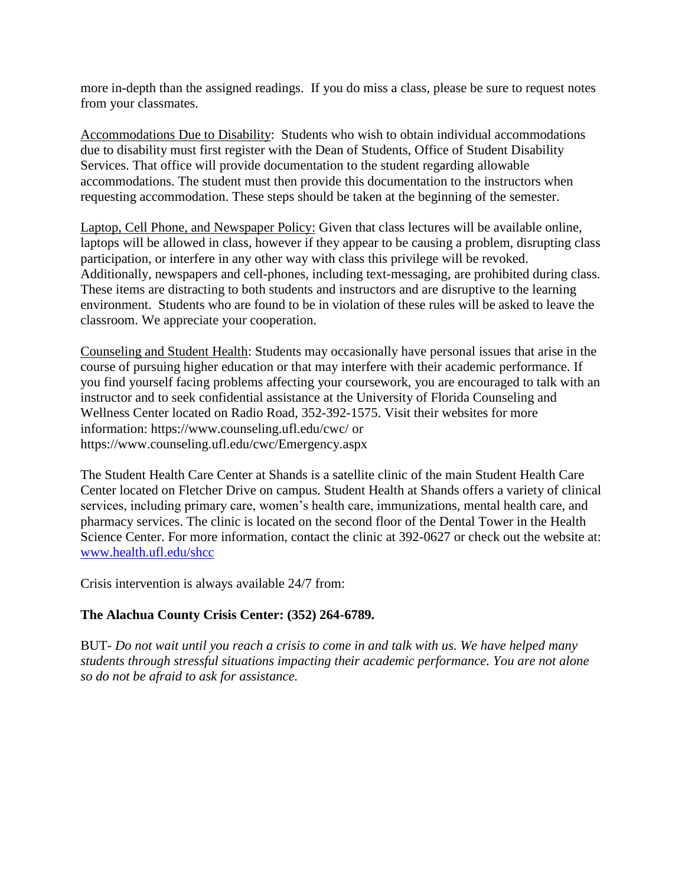more in-depth than the assigned readings. If you do miss a class, please be sure to request notes from your classmates.

Accommodations Due to Disability: Students who wish to obtain individual accommodations due to disability must first register with the Dean of Students, Office of Student Disability Services. That office will provide documentation to the student regarding allowable accommodations. The student must then provide this documentation to the instructors when requesting accommodation. These steps should be taken at the beginning of the semester.

Laptop, Cell Phone, and Newspaper Policy: Given that class lectures will be available online, laptops will be allowed in class, however if they appear to be causing a problem, disrupting class participation, or interfere in any other way with class this privilege will be revoked. Additionally, newspapers and cell-phones, including text-messaging, are prohibited during class. These items are distracting to both students and instructors and are disruptive to the learning environment. Students who are found to be in violation of these rules will be asked to leave the classroom. We appreciate your cooperation.

Counseling and Student Health: Students may occasionally have personal issues that arise in the course of pursuing higher education or that may interfere with their academic performance. If you find yourself facing problems affecting your coursework, you are encouraged to talk with an instructor and to seek confidential assistance at the University of Florida Counseling and Wellness Center located on Radio Road, 352-392-1575. Visit their websites for more information: https://www.counseling.ufl.edu/cwc/ or https://www.counseling.ufl.edu/cwc/Emergency.aspx

The Student Health Care Center at Shands is a satellite clinic of the main Student Health Care Center located on Fletcher Drive on campus. Student Health at Shands offers a variety of clinical services, including primary care, women's health care, immunizations, mental health care, and pharmacy services. The clinic is located on the second floor of the Dental Tower in the Health Science Center. For more information, contact the clinic at 392-0627 or check out the website at: [www.health.ufl.edu/shcc](http://www.health.ufl.edu/shcc)

Crisis intervention is always available 24/7 from:

## **The Alachua County Crisis Center: (352) 264-6789.**

BUT- *Do not wait until you reach a crisis to come in and talk with us. We have helped many students through stressful situations impacting their academic performance. You are not alone so do not be afraid to ask for assistance.*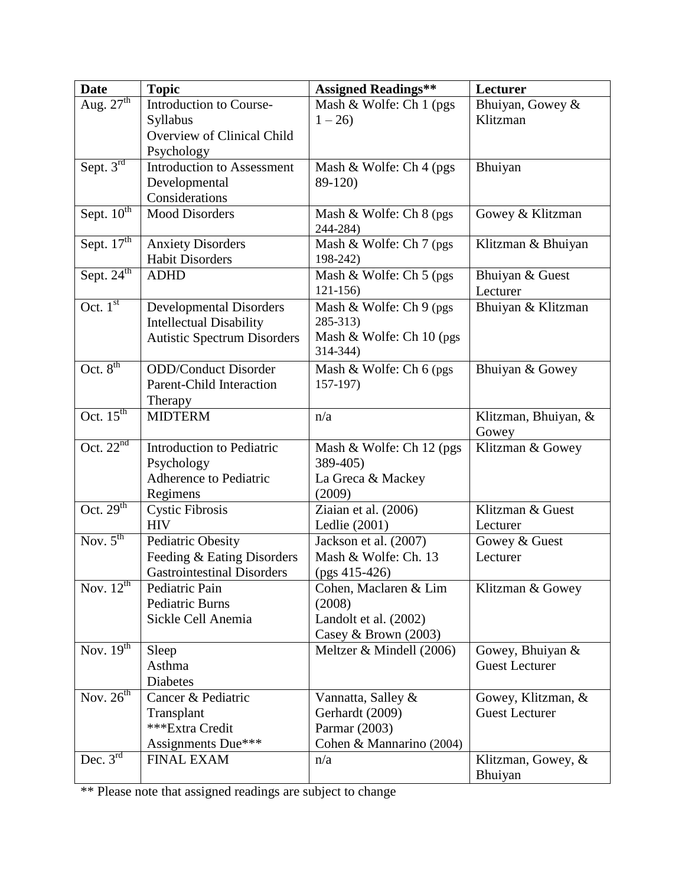| <b>Date</b>                            | <b>Topic</b>                       | <b>Assigned Readings**</b>            | Lecturer                      |
|----------------------------------------|------------------------------------|---------------------------------------|-------------------------------|
| Aug. $27th$                            | Introduction to Course-            | Mash & Wolfe: Ch 1 (pgs)              | Bhuiyan, Gowey &              |
|                                        | Syllabus                           | $1 - 26$                              | Klitzman                      |
|                                        | Overview of Clinical Child         |                                       |                               |
|                                        | Psychology                         |                                       |                               |
| Sept. 3rd                              | <b>Introduction to Assessment</b>  | Mash & Wolfe: Ch 4 (pgs)              | Bhuiyan                       |
|                                        | Developmental                      | 89-120)                               |                               |
|                                        | Considerations                     |                                       |                               |
| Sept. 10 <sup>th</sup>                 | <b>Mood Disorders</b>              | Mash & Wolfe: Ch 8 (pgs)<br>244-284)  | Gowey & Klitzman              |
| Sept. 17 <sup>th</sup>                 | <b>Anxiety Disorders</b>           | Mash & Wolfe: Ch 7 (pgs)              | Klitzman & Bhuiyan            |
|                                        | <b>Habit Disorders</b>             | 198-242)                              |                               |
| Sept. $24th$                           | <b>ADHD</b>                        | Mash & Wolfe: Ch 5 (pgs)              | Bhuiyan & Guest               |
|                                        |                                    | $121 - 156$                           | Lecturer                      |
| Oct. $1st$                             | <b>Developmental Disorders</b>     | Mash & Wolfe: Ch 9 (pgs)              | Bhuiyan & Klitzman            |
|                                        | <b>Intellectual Disability</b>     | 285-313)                              |                               |
|                                        | <b>Autistic Spectrum Disorders</b> | Mash & Wolfe: Ch 10 (pgs)<br>314-344) |                               |
|                                        |                                    |                                       |                               |
| Oct. $8^{th}$                          | <b>ODD/Conduct Disorder</b>        | Mash & Wolfe: Ch 6 (pgs)              | Bhuiyan & Gowey               |
|                                        | <b>Parent-Child Interaction</b>    | $157-197$                             |                               |
| Oct. $15^{\text{th}}$                  | Therapy<br><b>MIDTERM</b>          |                                       |                               |
|                                        |                                    | n/a                                   | Klitzman, Bhuiyan, &<br>Gowey |
| Oct. $22^{nd}$                         | Introduction to Pediatric          | Mash & Wolfe: Ch 12 (pgs)             | Klitzman & Gowey              |
|                                        | Psychology                         | 389-405)                              |                               |
|                                        | Adherence to Pediatric             | La Greca & Mackey                     |                               |
|                                        | Regimens                           | (2009)                                |                               |
| Oct. $29th$                            | <b>Cystic Fibrosis</b>             | Ziaian et al. (2006)                  | Klitzman & Guest              |
|                                        | <b>HIV</b>                         | Ledlie (2001)                         | Lecturer                      |
| $\overline{\text{Nov. 5}}^{\text{th}}$ | <b>Pediatric Obesity</b>           | Jackson et al. (2007)                 | Gowey & Guest                 |
|                                        | Feeding & Eating Disorders         | Mash & Wolfe: Ch. 13                  | Lecturer                      |
|                                        | <b>Gastrointestinal Disorders</b>  | $(pgs 415-426)$                       |                               |
| Nov. $12^{th}$                         | Pediatric Pain                     | Cohen, Maclaren & Lim                 | Klitzman & Gowey              |
|                                        | <b>Pediatric Burns</b>             | (2008)                                |                               |
|                                        | Sickle Cell Anemia                 | Landolt et al. (2002)                 |                               |
|                                        |                                    | Casey & Brown (2003)                  |                               |
| Nov. $\overline{19^{th}}$              | Sleep                              | Meltzer & Mindell (2006)              | Gowey, Bhuiyan &              |
|                                        | Asthma                             |                                       | <b>Guest Lecturer</b>         |
|                                        | Diabetes                           |                                       |                               |
| Nov. $26^{th}$                         | Cancer & Pediatric                 | Vannatta, Salley &                    | Gowey, Klitzman, &            |
|                                        | Transplant                         | Gerhardt (2009)                       | <b>Guest Lecturer</b>         |
|                                        | ***Extra Credit                    | Parmar (2003)                         |                               |
| Dec. $3rd$                             | Assignments Due***                 | Cohen & Mannarino (2004)              |                               |
|                                        | <b>FINAL EXAM</b>                  | n/a                                   | Klitzman, Gowey, &<br>Bhuiyan |
|                                        |                                    |                                       |                               |

<sup>\*\*</sup> Please note that assigned readings are subject to change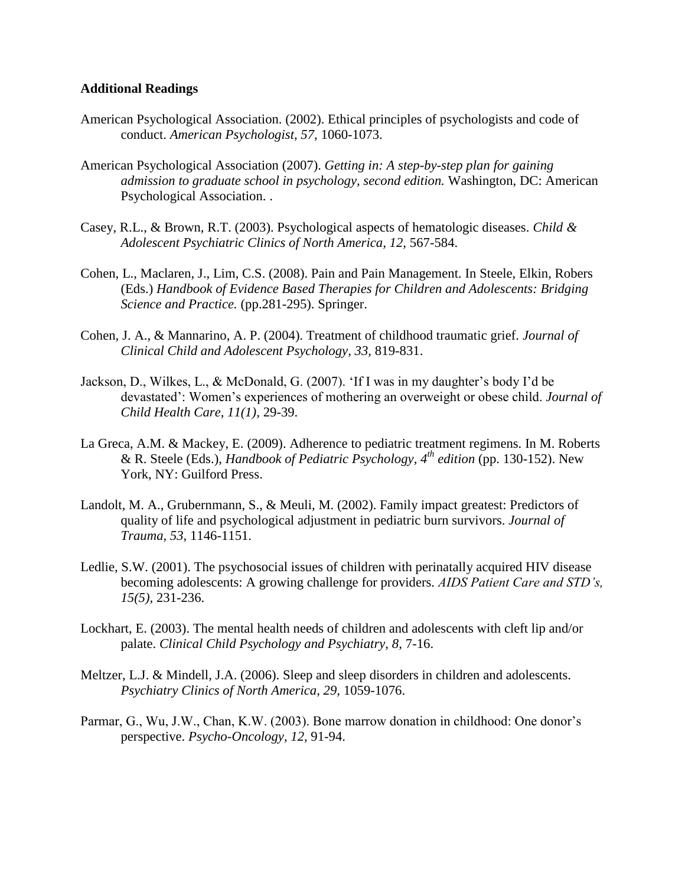#### **Additional Readings**

- American Psychological Association. (2002). Ethical principles of psychologists and code of conduct. *American Psychologist, 57,* 1060-1073.
- American Psychological Association (2007). *Getting in: A step-by-step plan for gaining admission to graduate school in psychology, second edition.* Washington, DC: American Psychological Association. .
- Casey, R.L., & Brown, R.T. (2003). Psychological aspects of hematologic diseases. *Child & Adolescent Psychiatric Clinics of North America, 12,* 567-584.
- Cohen, L., Maclaren, J., Lim, C.S. (2008). Pain and Pain Management. In Steele, Elkin, Robers (Eds.) *Handbook of Evidence Based Therapies for Children and Adolescents: Bridging Science and Practice.* (pp.281-295). Springer.
- Cohen, J. A., & Mannarino, A. P. (2004). Treatment of childhood traumatic grief. *Journal of Clinical Child and Adolescent Psychology, 33,* 819-831.
- Jackson, D., Wilkes, L., & McDonald, G. (2007). 'If I was in my daughter's body I'd be devastated': Women's experiences of mothering an overweight or obese child. *Journal of Child Health Care, 11(1),* 29-39.
- La Greca, A.M. & Mackey, E. (2009). Adherence to pediatric treatment regimens. In M. Roberts & R. Steele (Eds.), *Handbook of Pediatric Psychology, 4 th edition* (pp. 130-152). New York, NY: Guilford Press.
- Landolt, M. A., Grubernmann, S., & Meuli, M. (2002). Family impact greatest: Predictors of quality of life and psychological adjustment in pediatric burn survivors. *Journal of Trauma, 53,* 1146-1151.
- Ledlie, S.W. (2001). The psychosocial issues of children with perinatally acquired HIV disease becoming adolescents: A growing challenge for providers. *AIDS Patient Care and STD's, 15(5),* 231-236.
- Lockhart, E. (2003). The mental health needs of children and adolescents with cleft lip and/or palate. *Clinical Child Psychology and Psychiatry, 8,* 7-16.
- Meltzer, L.J. & Mindell, J.A. (2006). Sleep and sleep disorders in children and adolescents. *Psychiatry Clinics of North America, 29,* 1059-1076.
- Parmar, G., Wu, J.W., Chan, K.W. (2003). Bone marrow donation in childhood: One donor's perspective. *Psycho-Oncology, 12,* 91-94.